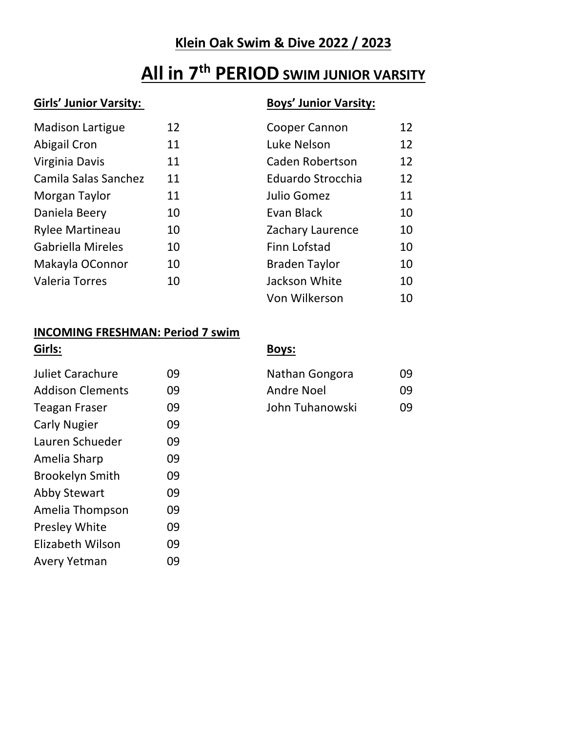# **Klein Oak Swim & Dive 2022 / 2023**

# **All in 7th PERIOD SWIM JUNIOR VARSITY**

## **Girls' Junior Varsity: Boys' Junior Varsity:**

| <b>Madison Lartigue</b>  | 12 | Cooper Cannon          | 12 |
|--------------------------|----|------------------------|----|
| <b>Abigail Cron</b>      | 11 | Luke Nelson            | 12 |
| Virginia Davis           | 11 | <b>Caden Robertson</b> | 12 |
| Camila Salas Sanchez     | 11 | Eduardo Strocchia      | 12 |
| Morgan Taylor            | 11 | Julio Gomez            | 11 |
| Daniela Beery            | 10 | Evan Black             | 10 |
| <b>Rylee Martineau</b>   | 10 | Zachary Laurence       | 10 |
| <b>Gabriella Mireles</b> | 10 | Finn Lofstad           | 10 |
| Makayla OConnor          | 10 | <b>Braden Taylor</b>   | 10 |
| <b>Valeria Torres</b>    | 10 | Jackson White          | 10 |
|                          |    | Von Wilkerson          | 10 |

### **INCOMING FRESHMAN: Period 7 swim**

| Girls:                  |    | <b>Boys:</b>      |    |
|-------------------------|----|-------------------|----|
| <b>Juliet Carachure</b> | 09 | Nathan Gongora    | 09 |
| <b>Addison Clements</b> | 09 | <b>Andre Noel</b> | 09 |
| <b>Teagan Fraser</b>    | 09 | John Tuhanowski   | 09 |
| <b>Carly Nugier</b>     | 09 |                   |    |
| Lauren Schueder         | 09 |                   |    |
| Amelia Sharp            | 09 |                   |    |
| <b>Brookelyn Smith</b>  | 09 |                   |    |
| <b>Abby Stewart</b>     | 09 |                   |    |
| Amelia Thompson         | 09 |                   |    |
| Presley White           | 09 |                   |    |
| Elizabeth Wilson        | 09 |                   |    |
| Avery Yetman            | 09 |                   |    |

| Nathan Gongora  | 09 |
|-----------------|----|
| Andre Noel      | 09 |
| John Tuhanowski | 09 |